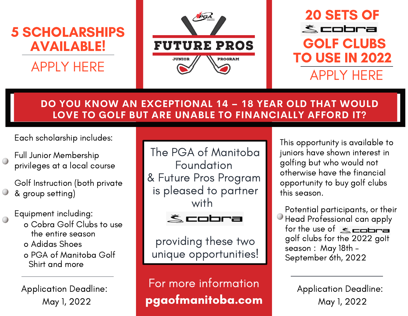

### **DO YOU KNOW AN EXCEPTIONAL 14 – 18 YEAR OLD THAT WOULD LOVE TO GOLF BUT ARE UNABLE TO FINANCIALLY AFFORD IT?**

Each scholarship includes:

Full Junior Membership privileges at a local course

Golf Instruction (both private & group setting)

#### Equipment including:

- o Cobra Golf Clubs to use the entire season
- o Adidas Shoes o PGA of Manitoba Golf Shirt and more

Application Deadline: May 1, 2022

The PGA of Manitoba Foundation & Future Pros Program is pleased to partner with



providing these two unique opportunities!

pgaofmanitoba.com For more information

This opportunity is available to juniors have shown interest in golfing but who would not otherwise have the financial opportunity to buy golf clubs this season.

for the use of  $\le$ Potential participants, or their Head Professional can apply golf clubs for the 2022 golf season : May 18th - September 6th, 2022

> Application Deadline: May 1, 2022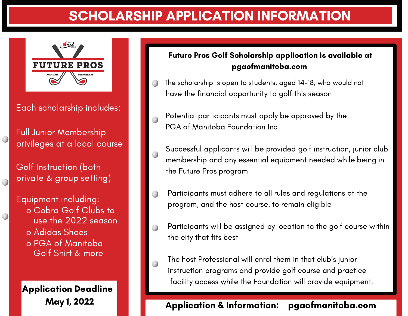## SCHOLARSHIP APPLICATION INFORMATION



Each scholarship includes:

Full Junior Membership privileges at a local course

 $\bigcirc$ 

 $\bigcirc$ 

Golf Instruction (both private & group setting)

Equipment including: o Cobra Golf Clubs to use the 2022 season o Adidas Shoes o PGA of Manitoba Golf Shirt & more

Application Deadline

#### Future Pros Golf Scholarship application is available at pgaofmanitoba.com

- The scholarship is open to students, aged 14-18, who would not have the financial opportunity to golf this season
- Potential participants must apply be approved by the PGA of Manitoba Foundation Inc
- Successful applicants will be provided golf instruction, junior club membership and any essential equipment needed while being in the Future Pros program
- Participants must adhere to all rules and regulations of the program, and the host course, to remain eligible
- Participants will be assigned by location to the golf course within the city that fits best
- For more information facility access while the Foundation will provide equipment. The host Professional will enrol them in that club's junior instruction programs and provide golf course and practice

# pgaofmanitoba.com May 1, 2022 Application & Information: pgaofmanitoba.com